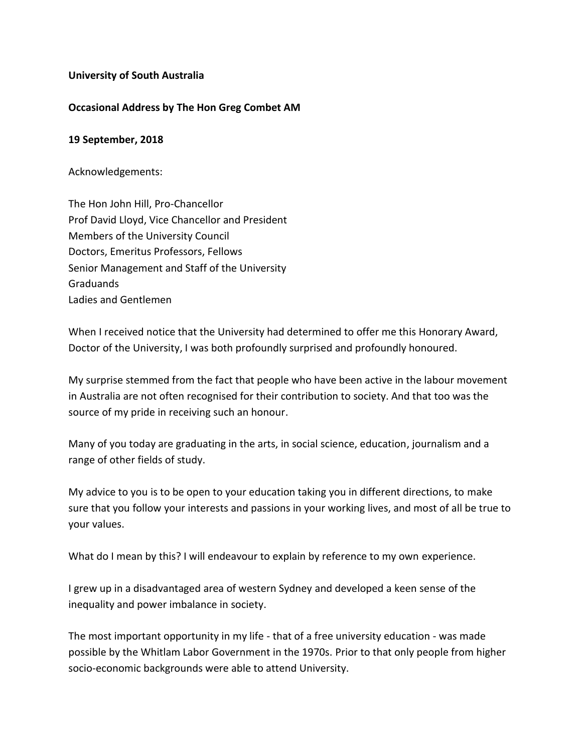## **University of South Australia**

## **Occasional Address by The Hon Greg Combet AM**

## **19 September, 2018**

Acknowledgements:

The Hon John Hill, Pro-Chancellor Prof David Lloyd, Vice Chancellor and President Members of the University Council Doctors, Emeritus Professors, Fellows Senior Management and Staff of the University Graduands Ladies and Gentlemen

When I received notice that the University had determined to offer me this Honorary Award, Doctor of the University, I was both profoundly surprised and profoundly honoured.

My surprise stemmed from the fact that people who have been active in the labour movement in Australia are not often recognised for their contribution to society. And that too was the source of my pride in receiving such an honour.

Many of you today are graduating in the arts, in social science, education, journalism and a range of other fields of study.

My advice to you is to be open to your education taking you in different directions, to make sure that you follow your interests and passions in your working lives, and most of all be true to your values.

What do I mean by this? I will endeavour to explain by reference to my own experience.

I grew up in a disadvantaged area of western Sydney and developed a keen sense of the inequality and power imbalance in society.

The most important opportunity in my life - that of a free university education - was made possible by the Whitlam Labor Government in the 1970s. Prior to that only people from higher socio-economic backgrounds were able to attend University.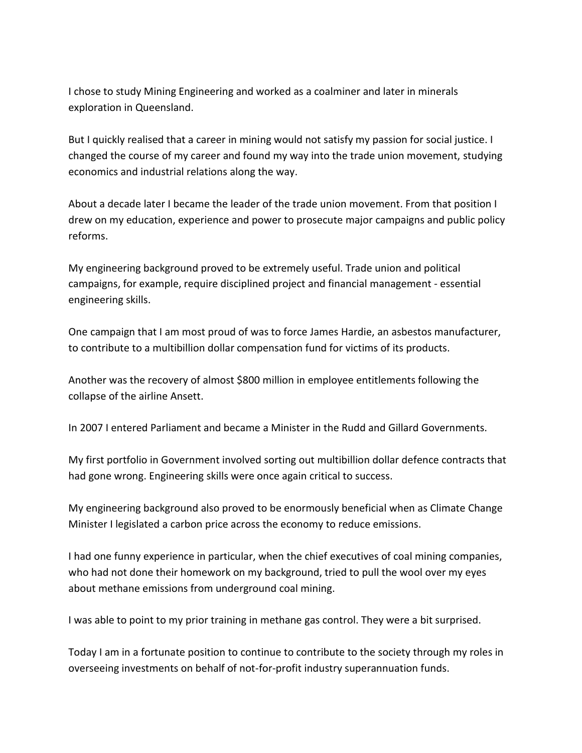I chose to study Mining Engineering and worked as a coalminer and later in minerals exploration in Queensland.

But I quickly realised that a career in mining would not satisfy my passion for social justice. I changed the course of my career and found my way into the trade union movement, studying economics and industrial relations along the way.

About a decade later I became the leader of the trade union movement. From that position I drew on my education, experience and power to prosecute major campaigns and public policy reforms.

My engineering background proved to be extremely useful. Trade union and political campaigns, for example, require disciplined project and financial management - essential engineering skills.

One campaign that I am most proud of was to force James Hardie, an asbestos manufacturer, to contribute to a multibillion dollar compensation fund for victims of its products.

Another was the recovery of almost \$800 million in employee entitlements following the collapse of the airline Ansett.

In 2007 I entered Parliament and became a Minister in the Rudd and Gillard Governments.

My first portfolio in Government involved sorting out multibillion dollar defence contracts that had gone wrong. Engineering skills were once again critical to success.

My engineering background also proved to be enormously beneficial when as Climate Change Minister I legislated a carbon price across the economy to reduce emissions.

I had one funny experience in particular, when the chief executives of coal mining companies, who had not done their homework on my background, tried to pull the wool over my eyes about methane emissions from underground coal mining.

I was able to point to my prior training in methane gas control. They were a bit surprised.

Today I am in a fortunate position to continue to contribute to the society through my roles in overseeing investments on behalf of not-for-profit industry superannuation funds.